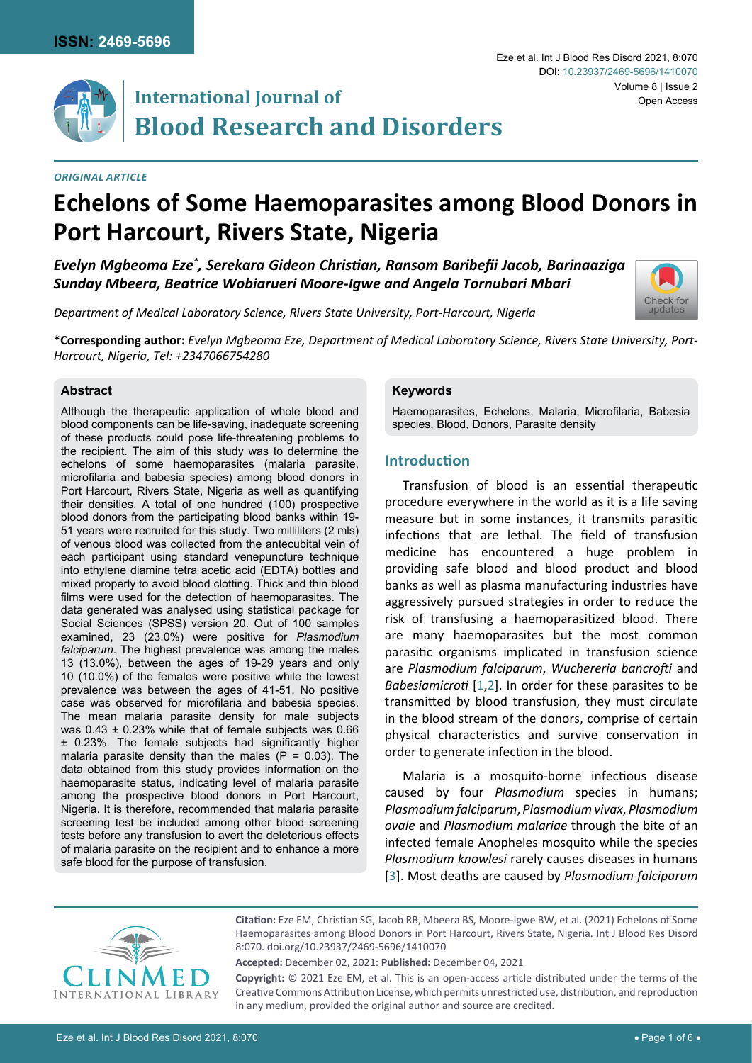

# **International Journal of Blood Research and Disorders**

### *Original Article*

#### Eze et al. Int J Blood Res Disord 2021, 8:070 Volume 8 | Issue 2 DOI: [10.23937/2469-5696/1410070](https://doi.org/10.23937/2469-5696/1410070) Open Access

[Check for](http://crossmark.crossref.org/dialog/?doi=10.23937/2469-5696/1410070&domain=pdf) updates

# **Echelons of Some Haemoparasites among Blood Donors in Port Harcourt, Rivers State, Nigeria**

*Evelyn Mgbeoma Eze\* , Serekara Gideon Christian, Ransom Baribefii Jacob, Barinaaziga Sunday Mbeera, Beatrice Wobiarueri Moore-Igwe and Angela Tornubari Mbari*

*Department of Medical Laboratory Science, Rivers State University, Port-Harcourt, Nigeria*

**\*Corresponding author:** *Evelyn Mgbeoma Eze, Department of Medical Laboratory Science, Rivers State University, Port-Harcourt, Nigeria, Tel: +2347066754280*

#### **Abstract**

Although the therapeutic application of whole blood and blood components can be life-saving, inadequate screening of these products could pose life-threatening problems to the recipient. The aim of this study was to determine the echelons of some haemoparasites (malaria parasite, microfilaria and babesia species) among blood donors in Port Harcourt, Rivers State, Nigeria as well as quantifying their densities. A total of one hundred (100) prospective blood donors from the participating blood banks within 19- 51 years were recruited for this study. Two milliliters (2 mls) of venous blood was collected from the antecubital vein of each participant using standard venepuncture technique into ethylene diamine tetra acetic acid (EDTA) bottles and mixed properly to avoid blood clotting. Thick and thin blood films were used for the detection of haemoparasites. The data generated was analysed using statistical package for Social Sciences (SPSS) version 20. Out of 100 samples examined, 23 (23.0%) were positive for *Plasmodium falciparum*. The highest prevalence was among the males 13 (13.0%), between the ages of 19-29 years and only 10 (10.0%) of the females were positive while the lowest prevalence was between the ages of 41-51. No positive case was observed for microfilaria and babesia species. The mean malaria parasite density for male subjects was 0.43 ± 0.23% while that of female subjects was 0.66 ± 0.23%. The female subjects had significantly higher malaria parasite density than the males  $(P = 0.03)$ . The data obtained from this study provides information on the haemoparasite status, indicating level of malaria parasite among the prospective blood donors in Port Harcourt, Nigeria. It is therefore, recommended that malaria parasite screening test be included among other blood screening tests before any transfusion to avert the deleterious effects of malaria parasite on the recipient and to enhance a more safe blood for the purpose of transfusion.

#### **Keywords**

Haemoparasites, Echelons, Malaria, Microfilaria, Babesia species, Blood, Donors, Parasite density

## **Introduction**

Transfusion of blood is an essential therapeutic procedure everywhere in the world as it is a life saving measure but in some instances, it transmits parasitic infections that are lethal. The field of transfusion medicine has encountered a huge problem in providing safe blood and blood product and blood banks as well as plasma manufacturing industries have aggressively pursued strategies in order to reduce the risk of transfusing a haemoparasitized blood. There are many haemoparasites but the most common parasitic organisms implicated in transfusion science are *Plasmodium falciparum*, *Wuchereria bancrofti* and *Babesiamicroti* [[1](#page-4-0),[2\]](#page-4-1). In order for these parasites to be transmitted by blood transfusion, they must circulate in the blood stream of the donors, comprise of certain physical characteristics and survive conservation in order to generate infection in the blood.

Malaria is a mosquito-borne infectious disease caused by four *Plasmodium* species in humans; *Plasmodium falciparum*, *Plasmodium vivax*, *Plasmodium ovale* and *Plasmodium malariae* through the bite of an infected female Anopheles mosquito while the species *Plasmodium knowlesi* rarely causes diseases in humans [[3\]](#page-4-2). Most deaths are caused by *Plasmodium falciparum*



**Citation:** Eze EM, Christian SG, Jacob RB, Mbeera BS, Moore-Igwe BW, et al. (2021) Echelons of Some Haemoparasites among Blood Donors in Port Harcourt, Rivers State, Nigeria. Int J Blood Res Disord 8:070. [doi.org/10.23937/2469-5696/1410070](https://doi.org/10.23937/2469-5696/1410070)

**Accepted:** December 02, 2021: **Published:** December 04, 2021

**Copyright:** © 2021 Eze EM, et al. This is an open-access article distributed under the terms of the Creative Commons Attribution License, which permits unrestricted use, distribution, and reproduction in any medium, provided the original author and source are credited.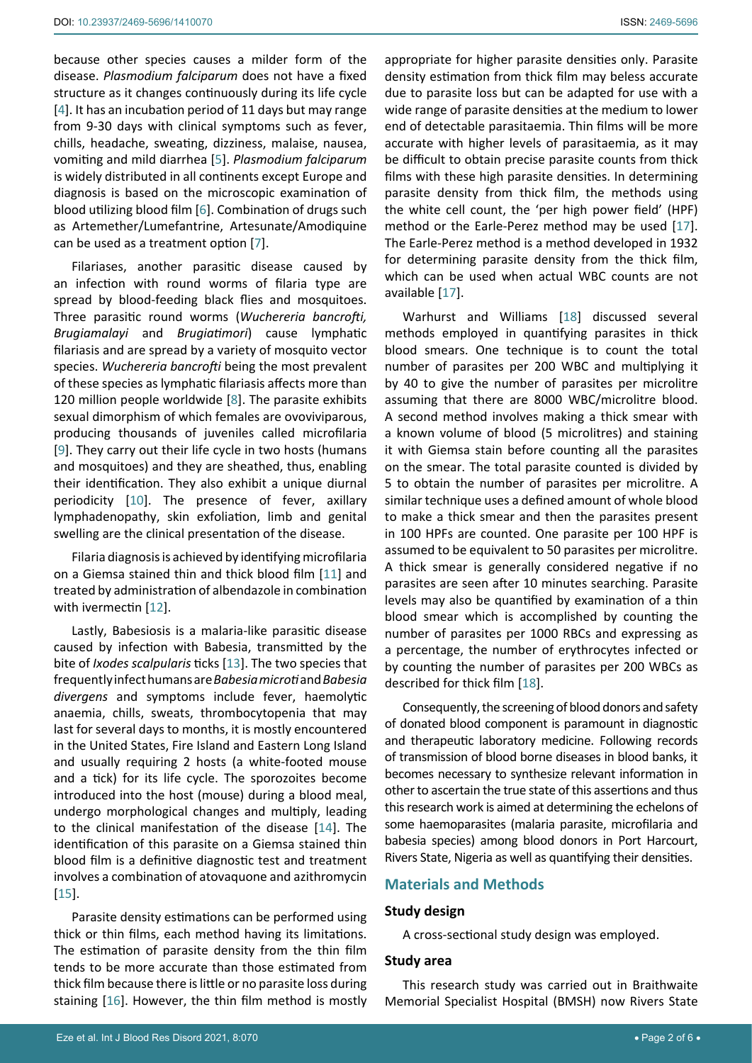because other species causes a milder form of the disease. *Plasmodium falciparum* does not have a fixed structure as it changes continuously during its life cycle [[4](#page-4-3)]. It has an incubation period of 11 days but may range from 9-30 days with clinical symptoms such as fever, chills, headache, sweating, dizziness, malaise, nausea, vomiting and mild diarrhea [\[5\]](#page-4-4). *Plasmodium falciparum* is widely distributed in all continents except Europe and diagnosis is based on the microscopic examination of blood utilizing blood film [[6\]](#page-4-5). Combination of drugs such as Artemether/Lumefantrine, Artesunate/Amodiquine can be used as a treatment option [\[7\]](#page-4-6).

Filariases, another parasitic disease caused by an infection with round worms of filaria type are spread by blood-feeding black flies and mosquitoes. Three parasitic round worms (*Wuchereria bancrofti, Brugiamalayi* and *Brugiatimori*) cause lymphatic filariasis and are spread by a variety of mosquito vector species. *Wuchereria bancrofti* being the most prevalent of these species as lymphatic filariasis affects more than 120 million people worldwide [[8](#page-4-7)]. The parasite exhibits sexual dimorphism of which females are ovoviviparous, producing thousands of juveniles called microfilaria [[9](#page-4-8)]. They carry out their life cycle in two hosts (humans and mosquitoes) and they are sheathed, thus, enabling their identification. They also exhibit a unique diurnal periodicity [[10\]](#page-4-9). The presence of fever, axillary lymphadenopathy, skin exfoliation, limb and genital swelling are the clinical presentation of the disease.

Filaria diagnosis is achieved by identifying microfilaria on a Giemsa stained thin and thick blood film [\[11](#page-4-10)] and treated by administration of albendazole in combination with ivermectin [\[12](#page-4-11)].

Lastly, Babesiosis is a malaria-like parasitic disease caused by infection with Babesia, transmitted by the bite of *Ixodes scalpularis* ticks [\[13](#page-4-12)]. The two species that frequently infect humans are *Babesia microti* and *Babesia divergens* and symptoms include fever, haemolytic anaemia, chills, sweats, thrombocytopenia that may last for several days to months, it is mostly encountered in the United States, Fire Island and Eastern Long Island and usually requiring 2 hosts (a white-footed mouse and a tick) for its life cycle. The sporozoites become introduced into the host (mouse) during a blood meal, undergo morphological changes and multiply, leading to the clinical manifestation of the disease [\[14](#page-4-13)]. The identification of this parasite on a Giemsa stained thin blood film is a definitive diagnostic test and treatment involves a combination of atovaquone and azithromycin [[15](#page-4-14)].

Parasite density estimations can be performed using thick or thin films, each method having its limitations. The estimation of parasite density from the thin film tends to be more accurate than those estimated from thick film because there is little or no parasite loss during staining [\[16](#page-5-0)]. However, the thin film method is mostly appropriate for higher parasite densities only. Parasite density estimation from thick film may beless accurate due to parasite loss but can be adapted for use with a wide range of parasite densities at the medium to lower end of detectable parasitaemia. Thin films will be more accurate with higher levels of parasitaemia, as it may be difficult to obtain precise parasite counts from thick films with these high parasite densities. In determining parasite density from thick film, the methods using the white cell count, the 'per high power field' (HPF) method or the Earle-Perez method may be used [\[17\]](#page-5-1). The Earle-Perez method is a method developed in 1932 for determining parasite density from the thick film, which can be used when actual WBC counts are not available [\[17](#page-5-1)].

Warhurst and Williams [[18](#page-5-2)] discussed several methods employed in quantifying parasites in thick blood smears. One technique is to count the total number of parasites per 200 WBC and multiplying it by 40 to give the number of parasites per microlitre assuming that there are 8000 WBC/microlitre blood. A second method involves making a thick smear with a known volume of blood (5 microlitres) and staining it with Giemsa stain before counting all the parasites on the smear. The total parasite counted is divided by 5 to obtain the number of parasites per microlitre. A similar technique uses a defined amount of whole blood to make a thick smear and then the parasites present in 100 HPFs are counted. One parasite per 100 HPF is assumed to be equivalent to 50 parasites per microlitre. A thick smear is generally considered negative if no parasites are seen after 10 minutes searching. Parasite levels may also be quantified by examination of a thin blood smear which is accomplished by counting the number of parasites per 1000 RBCs and expressing as a percentage, the number of erythrocytes infected or by counting the number of parasites per 200 WBCs as described for thick film [\[18\]](#page-5-2).

Consequently, the screening of blood donors and safety of donated blood component is paramount in diagnostic and therapeutic laboratory medicine. Following records of transmission of blood borne diseases in blood banks, it becomes necessary to synthesize relevant information in other to ascertain the true state of this assertions and thus this research work is aimed at determining the echelons of some haemoparasites (malaria parasite, microfilaria and babesia species) among blood donors in Port Harcourt, Rivers State, Nigeria as well as quantifying their densities.

# **Materials and Methods**

#### **Study design**

A cross-sectional study design was employed.

#### **Study area**

This research study was carried out in Braithwaite Memorial Specialist Hospital (BMSH) now Rivers State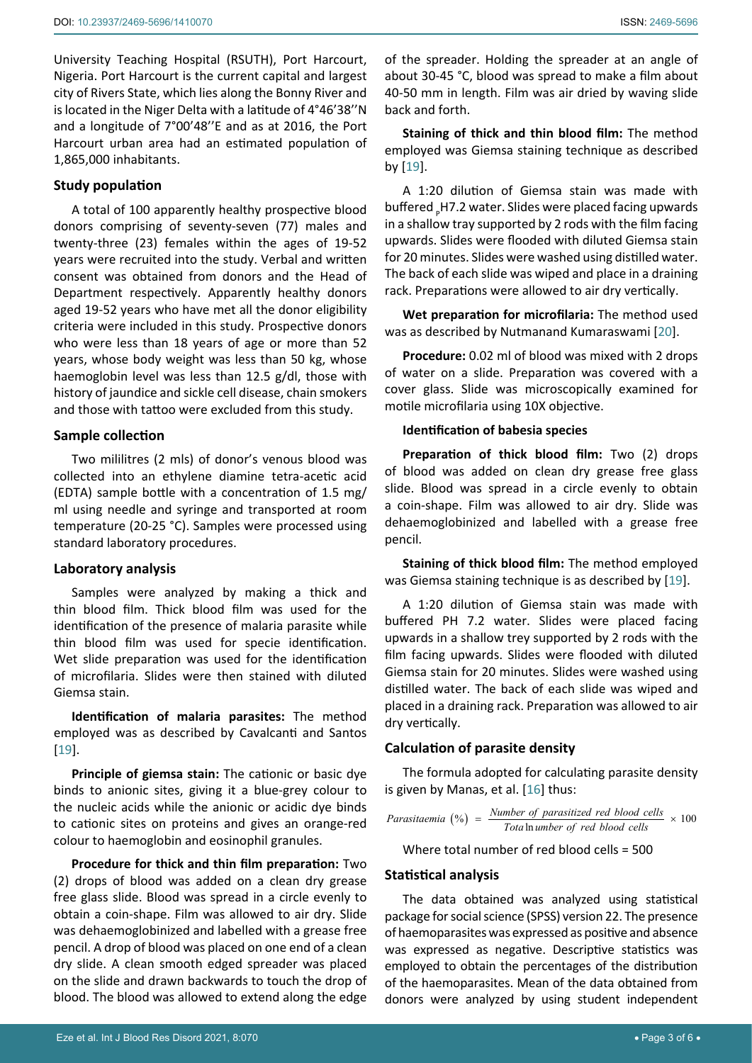University Teaching Hospital (RSUTH), Port Harcourt, Nigeria. Port Harcourt is the current capital and largest city of Rivers State, which lies along the Bonny River and is located in the Niger Delta with a latitude of 4°46'38''N and a longitude of 7°00'48''E and as at 2016, the Port Harcourt urban area had an estimated population of 1,865,000 inhabitants.

## **Study population**

A total of 100 apparently healthy prospective blood donors comprising of seventy-seven (77) males and twenty-three (23) females within the ages of 19-52 years were recruited into the study. Verbal and written consent was obtained from donors and the Head of Department respectively. Apparently healthy donors aged 19-52 years who have met all the donor eligibility criteria were included in this study. Prospective donors who were less than 18 years of age or more than 52 years, whose body weight was less than 50 kg, whose haemoglobin level was less than 12.5 g/dl, those with history of jaundice and sickle cell disease, chain smokers and those with tattoo were excluded from this study.

#### **Sample collection**

Two mililitres (2 mls) of donor's venous blood was collected into an ethylene diamine tetra-acetic acid (EDTA) sample bottle with a concentration of 1.5 mg/ ml using needle and syringe and transported at room temperature (20-25 °C). Samples were processed using standard laboratory procedures.

#### **Laboratory analysis**

Samples were analyzed by making a thick and thin blood film. Thick blood film was used for the identification of the presence of malaria parasite while thin blood film was used for specie identification. Wet slide preparation was used for the identification of microfilaria. Slides were then stained with diluted Giemsa stain.

**Identification of malaria parasites:** The method employed was as described by Cavalcanti and Santos [[19](#page-5-3)].

**Principle of giemsa stain:** The cationic or basic dye binds to anionic sites, giving it a blue-grey colour to the nucleic acids while the anionic or acidic dye binds to cationic sites on proteins and gives an orange-red colour to haemoglobin and eosinophil granules.

**Procedure for thick and thin film preparation:** Two (2) drops of blood was added on a clean dry grease free glass slide. Blood was spread in a circle evenly to obtain a coin-shape. Film was allowed to air dry. Slide was dehaemoglobinized and labelled with a grease free pencil. A drop of blood was placed on one end of a clean dry slide. A clean smooth edged spreader was placed on the slide and drawn backwards to touch the drop of blood. The blood was allowed to extend along the edge

of the spreader. Holding the spreader at an angle of about 30-45 °C, blood was spread to make a film about 40-50 mm in length. Film was air dried by waving slide back and forth.

**Staining of thick and thin blood film:** The method employed was Giemsa staining technique as described by [\[19](#page-5-3)].

A 1:20 dilution of Giemsa stain was made with buffered <sub>P</sub>H7.2 water. Slides were placed facing upwards in a shallow tray supported by 2 rods with the film facing upwards. Slides were flooded with diluted Giemsa stain for 20 minutes. Slides were washed using distilled water. The back of each slide was wiped and place in a draining rack. Preparations were allowed to air dry vertically.

**Wet preparation for microfilaria:** The method used was as described by Nutmanand Kumaraswami [[20](#page-5-4)].

**Procedure:** 0.02 ml of blood was mixed with 2 drops of water on a slide. Preparation was covered with a cover glass. Slide was microscopically examined for motile microfilaria using 10X objective.

#### **Identification of babesia species**

**Preparation of thick blood film:** Two (2) drops of blood was added on clean dry grease free glass slide. Blood was spread in a circle evenly to obtain a coin-shape. Film was allowed to air dry. Slide was dehaemoglobinized and labelled with a grease free pencil.

**Staining of thick blood film:** The method employed was Giemsa staining technique is as described by [\[19\]](#page-5-3).

A 1:20 dilution of Giemsa stain was made with buffered PH 7.2 water. Slides were placed facing upwards in a shallow trey supported by 2 rods with the film facing upwards. Slides were flooded with diluted Giemsa stain for 20 minutes. Slides were washed using distilled water. The back of each slide was wiped and placed in a draining rack. Preparation was allowed to air dry vertically.

## **Calculation of parasite density**

The formula adopted for calculating parasite density is given by Manas, et al. [\[16](#page-5-0)] thus:

$$
Parasitaemia (%) = \frac{Number of parasitized red blood cells}{Total number of red blood cells} \times 100
$$

Where total number of red blood cells = 500

### **Statistical analysis**

The data obtained was analyzed using statistical package for social science (SPSS) version 22. The presence of haemoparasites was expressed as positive and absence was expressed as negative. Descriptive statistics was employed to obtain the percentages of the distribution of the haemoparasites. Mean of the data obtained from donors were analyzed by using student independent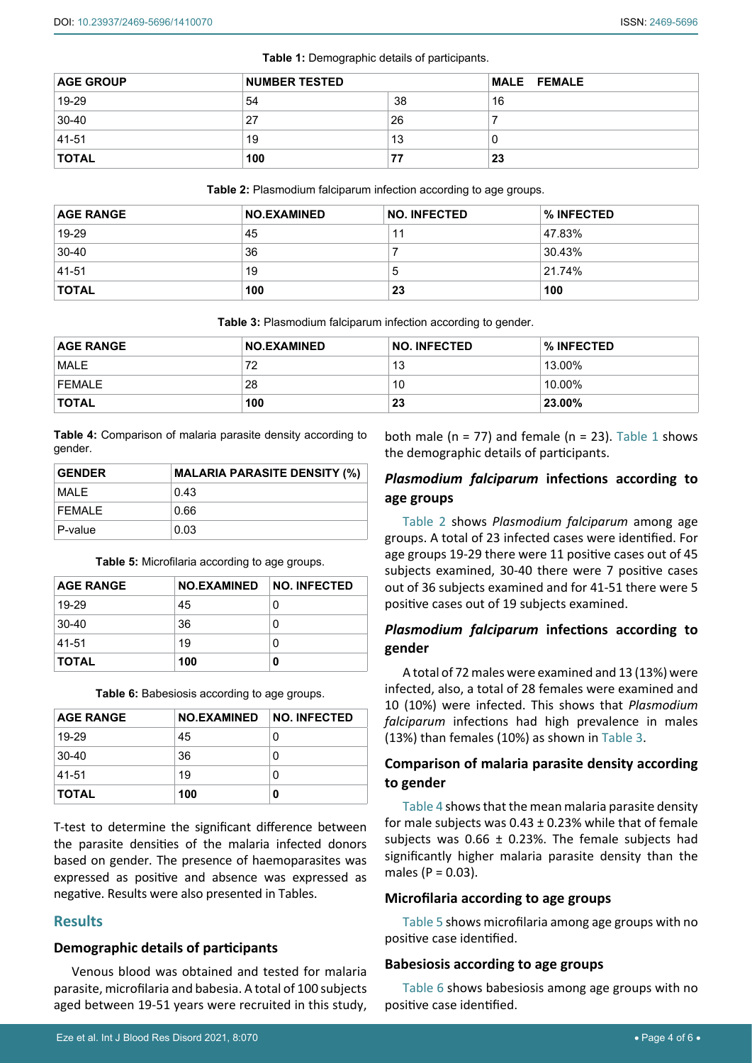<span id="page-3-0"></span>

| <b>AGE GROUP</b> | <b>NUMBER TESTED</b> |    | <b>MALE FEMALE</b> |
|------------------|----------------------|----|--------------------|
| 19-29            | 54                   | 38 | 16                 |
| 30-40            | 27                   | 26 |                    |
| 41-51            | 19                   | 13 |                    |
| <b>TOTAL</b>     | 100                  | 77 | 23                 |

<span id="page-3-1"></span>**Table 2:** Plasmodium falciparum infection according to age groups.

| <b>AGE RANGE</b> | <b>NO.EXAMINED</b> | <b>NO. INFECTED</b> | % INFECTED |
|------------------|--------------------|---------------------|------------|
| 19-29            | 45                 |                     | 47.83%     |
| 30-40            | 36                 |                     | 30.43%     |
| 41-51            | 19                 | 5                   | 21.74%     |
| <b>TOTAL</b>     | 100                | 23                  | 100        |

<span id="page-3-2"></span>**Table 3:** Plasmodium falciparum infection according to gender.

| <b>AGE RANGE</b> | <b>NO.EXAMINED</b> | <b>NO. INFECTED</b> | % INFECTED |
|------------------|--------------------|---------------------|------------|
| <b>MALE</b>      | 72                 | 13                  | 13.00%     |
| <b>FEMALE</b>    | 28                 | 10                  | 10.00%     |
| <b>TOTAL</b>     | 100                | 23                  | 23.00%     |

<span id="page-3-3"></span>**Table 4:** Comparison of malaria parasite density according to gender.

| <b>GENDER</b> | <b>MALARIA PARASITE DENSITY (%)</b> |
|---------------|-------------------------------------|
| MAI F         | 0.43                                |
| <b>FFMAIF</b> | 0.66                                |
| P-value       | 0.03                                |

<span id="page-3-4"></span>**Table 5:** Microfilaria according to age groups.

| <b>AGE RANGE</b> | NO.EXAMINED NO. INFECTED |   |
|------------------|--------------------------|---|
| 19-29            | 45                       | 0 |
| 30-40            | 36                       | 0 |
| 41-51            | 19                       |   |
| <b>TOTAL</b>     | 100                      | 0 |

<span id="page-3-5"></span>**Table 6:** Babesiosis according to age groups.

| <b>AGE RANGE</b> | <b>NO.EXAMINED</b> | <b>NO. INFECTED</b> |
|------------------|--------------------|---------------------|
| 19-29            | 45                 | 0                   |
| 30-40            | 36                 | 0                   |
| 41-51            | 19                 | 0                   |
| <b>TOTAL</b>     | 100                | 0                   |

T-test to determine the significant difference between the parasite densities of the malaria infected donors based on gender. The presence of haemoparasites was expressed as positive and absence was expressed as negative. Results were also presented in Tables.

#### **Results**

#### **Demographic details of participants**

Venous blood was obtained and tested for malaria parasite, microfilaria and babesia. A total of 100 subjects aged between 19-51 years were recruited in this study, both male ( $n = 77$ ) and female ( $n = 23$ ). [Table 1](#page-3-0) shows the demographic details of participants.

## *Plasmodium falciparum* **infections according to age groups**

[Table 2](#page-3-1) shows *Plasmodium falciparum* among age groups. A total of 23 infected cases were identified. For age groups 19-29 there were 11 positive cases out of 45 subjects examined, 30-40 there were 7 positive cases out of 36 subjects examined and for 41-51 there were 5 positive cases out of 19 subjects examined.

## *Plasmodium falciparum* **infections according to gender**

A total of 72 males were examined and 13 (13%) were infected, also, a total of 28 females were examined and 10 (10%) were infected. This shows that *Plasmodium falciparum* infections had high prevalence in males (13%) than females (10%) as shown in [Table 3](#page-3-2).

# **Comparison of malaria parasite density according to gender**

[Table 4](#page-3-3) shows that the mean malaria parasite density for male subjects was  $0.43 \pm 0.23$ % while that of female subjects was  $0.66 \pm 0.23$ %. The female subjects had significantly higher malaria parasite density than the males ( $P = 0.03$ ).

#### **Microfilaria according to age groups**

[Table 5](#page-3-4) shows microfilaria among age groups with no positive case identified.

### **Babesiosis according to age groups**

[Table 6](#page-3-5) shows babesiosis among age groups with no positive case identified.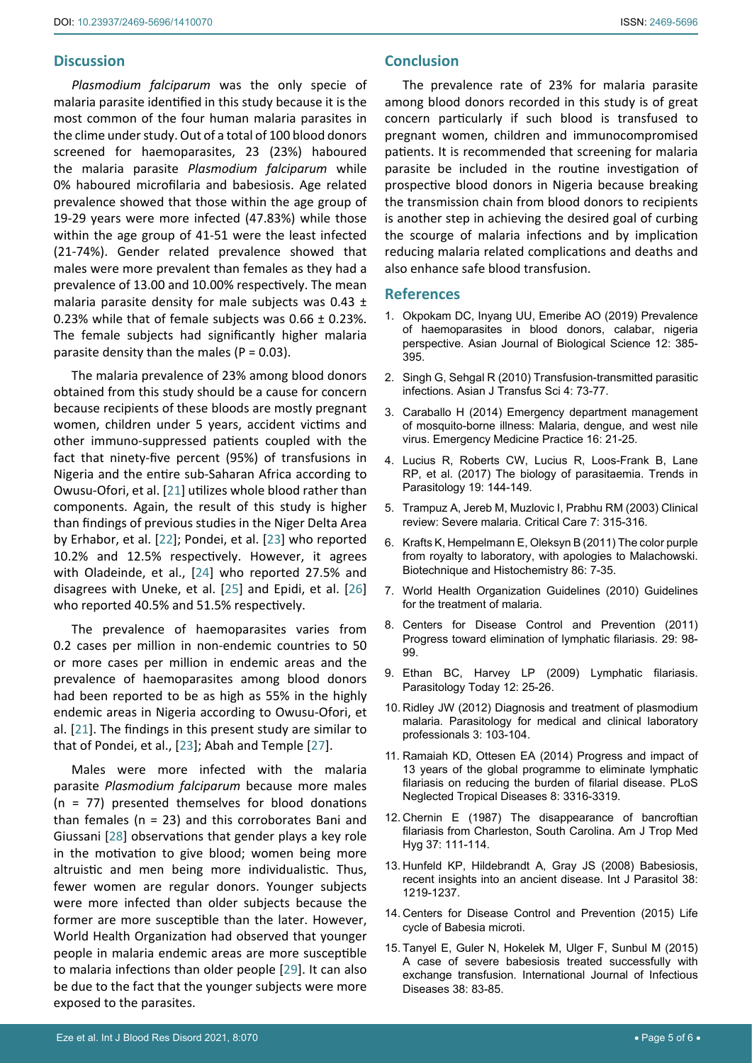# **Discussion**

*Plasmodium falciparum* was the only specie of malaria parasite identified in this study because it is the most common of the four human malaria parasites in the clime under study. Out of a total of 100 blood donors screened for haemoparasites, 23 (23%) haboured the malaria parasite *Plasmodium falciparum* while 0% haboured microfilaria and babesiosis. Age related prevalence showed that those within the age group of 19-29 years were more infected (47.83%) while those within the age group of 41-51 were the least infected (21-74%). Gender related prevalence showed that males were more prevalent than females as they had a prevalence of 13.00 and 10.00% respectively. The mean malaria parasite density for male subjects was 0.43 ± 0.23% while that of female subjects was 0.66 ± 0.23%. The female subjects had significantly higher malaria parasite density than the males ( $P = 0.03$ ).

The malaria prevalence of 23% among blood donors obtained from this study should be a cause for concern because recipients of these bloods are mostly pregnant women, children under 5 years, accident victims and other immuno-suppressed patients coupled with the fact that ninety-five percent (95%) of transfusions in Nigeria and the entire sub-Saharan Africa according to Owusu-Ofori, et al. [\[21](#page-5-5)] utilizes whole blood rather than components. Again, the result of this study is higher than findings of previous studies in the Niger Delta Area by Erhabor, et al. [[22](#page-5-6)]; Pondei, et al. [\[23\]](#page-5-7) who reported 10.2% and 12.5% respectively. However, it agrees with Oladeinde, et al., [[24\]](#page-5-8) who reported 27.5% and disagrees with Uneke, et al. [[25](#page-5-9)] and Epidi, et al. [\[26](#page-5-10)] who reported 40.5% and 51.5% respectively.

The prevalence of haemoparasites varies from 0.2 cases per million in non-endemic countries to 50 or more cases per million in endemic areas and the prevalence of haemoparasites among blood donors had been reported to be as high as 55% in the highly endemic areas in Nigeria according to Owusu-Ofori, et al. [\[21](#page-5-5)]. The findings in this present study are similar to that of Pondei, et al., [\[23](#page-5-7)]; Abah and Temple [\[27\]](#page-5-11).

Males were more infected with the malaria parasite *Plasmodium falciparum* because more males (n = 77) presented themselves for blood donations than females ( $n = 23$ ) and this corroborates Bani and Giussani [\[28](#page-5-12)] observations that gender plays a key role in the motivation to give blood; women being more altruistic and men being more individualistic. Thus, fewer women are regular donors. Younger subjects were more infected than older subjects because the former are more susceptible than the later. However, World Health Organization had observed that younger people in malaria endemic areas are more susceptible to malaria infections than older people [[29\]](#page-5-13). It can also be due to the fact that the younger subjects were more exposed to the parasites.

The prevalence rate of 23% for malaria parasite among blood donors recorded in this study is of great concern particularly if such blood is transfused to pregnant women, children and immunocompromised patients. It is recommended that screening for malaria parasite be included in the routine investigation of prospective blood donors in Nigeria because breaking the transmission chain from blood donors to recipients is another step in achieving the desired goal of curbing the scourge of malaria infections and by implication reducing malaria related complications and deaths and also enhance safe blood transfusion.

## **References**

- <span id="page-4-0"></span>1. [Okpokam DC, Inyang UU, Emeribe AO \(2019\) Prevalence](https://scialert.net/abstract/?doi=ajbs.2019.385.395)  [of haemoparasites in blood donors, calabar, nigeria](https://scialert.net/abstract/?doi=ajbs.2019.385.395)  [perspective. Asian Journal of Biological Science 12: 385-](https://scialert.net/abstract/?doi=ajbs.2019.385.395) [395.](https://scialert.net/abstract/?doi=ajbs.2019.385.395)
- <span id="page-4-1"></span>2. [Singh G, Sehgal R \(2010\) Transfusion-transmitted parasitic](https://www.ncbi.nlm.nih.gov/labs/pmc/articles/PMC2937300/)  [infections. Asian J Transfus Sci 4: 73-77.](https://www.ncbi.nlm.nih.gov/labs/pmc/articles/PMC2937300/)
- <span id="page-4-2"></span>3. [Caraballo H \(2014\) Emergency department management](https://www.ebmedicine.net/topics/infectious-disease/mosquito-borne)  [of mosquito-borne illness: Malaria, dengue, and west nile](https://www.ebmedicine.net/topics/infectious-disease/mosquito-borne)  [virus. Emergency Medicine Practice 16: 21-25.](https://www.ebmedicine.net/topics/infectious-disease/mosquito-borne)
- <span id="page-4-3"></span>4. Lucius R, Roberts CW, Lucius R, Loos-Frank B, Lane RP, et al. (2017) The biology of parasitaemia. Trends in Parasitology 19: 144-149.
- <span id="page-4-4"></span>5. [Trampuz A, Jereb M, Muzlovic I, Prabhu RM \(2003\) Clinical](https://pubmed.ncbi.nlm.nih.gov/12930555/)  [review: Severe malaria. Critical Care 7: 315-316.](https://pubmed.ncbi.nlm.nih.gov/12930555/)
- <span id="page-4-5"></span>6. [Krafts K, Hempelmann E, Oleksyn B \(2011\) The color purple](https://pubmed.ncbi.nlm.nih.gov/21235291/)  [from royalty to laboratory, with apologies to Malachowski.](https://pubmed.ncbi.nlm.nih.gov/21235291/)  [Biotechnique and Histochemistry 86: 7-35.](https://pubmed.ncbi.nlm.nih.gov/21235291/)
- <span id="page-4-6"></span>7. [World Health Organization Guidelines \(2010\) Guidelines](https://www.ncbi.nlm.nih.gov/books/NBK254223/)  [for the treatment of malaria.](https://www.ncbi.nlm.nih.gov/books/NBK254223/)
- <span id="page-4-7"></span>8. Centers for Disease Control and Prevention (2011) Progress toward elimination of lymphatic filariasis. 29: 98- 99.
- <span id="page-4-8"></span>9. Ethan BC, Harvey LP (2009) Lymphatic filariasis. Parasitology Today 12: 25-26.
- <span id="page-4-9"></span>10. Ridley JW (2012) Diagnosis and treatment of plasmodium malaria. Parasitology for medical and clinical laboratory professionals 3: 103-104.
- <span id="page-4-10"></span>11. [Ramaiah KD, Ottesen EA \(2014\) Progress and impact of](https://journals.plos.org/plosntds/article?id=10.1371/journal.pntd.0003319)  [13 years of the global programme to eliminate lymphatic](https://journals.plos.org/plosntds/article?id=10.1371/journal.pntd.0003319)  [filariasis on reducing the burden of filarial disease. PLoS](https://journals.plos.org/plosntds/article?id=10.1371/journal.pntd.0003319)  [Neglected Tropical Diseases 8: 3316-3319.](https://journals.plos.org/plosntds/article?id=10.1371/journal.pntd.0003319)
- <span id="page-4-11"></span>12. [Chernin E \(1987\) The disappearance of bancroftian](https://pubmed.ncbi.nlm.nih.gov/3300389/)  [filariasis from Charleston, South Carolina. Am J Trop Med](https://pubmed.ncbi.nlm.nih.gov/3300389/)  [Hyg 37: 111-114.](https://pubmed.ncbi.nlm.nih.gov/3300389/)
- <span id="page-4-12"></span>13. [Hunfeld KP, Hildebrandt A, Gray JS \(2008\) Babesiosis,](https://pubmed.ncbi.nlm.nih.gov/18440005/)  [recent insights into an ancient disease. Int J Parasitol 38:](https://pubmed.ncbi.nlm.nih.gov/18440005/)  [1219-1237.](https://pubmed.ncbi.nlm.nih.gov/18440005/)
- <span id="page-4-13"></span>14. Centers for Disease Control and Prevention (2015) Life cycle of Babesia microti.
- <span id="page-4-14"></span>15. [Tanyel E, Guler N, Hokelek M, Ulger F, Sunbul M \(2015\)](https://www.sciencedirect.com/science/article/pii/S1201971215001861)  [A case of severe babesiosis treated successfully with](https://www.sciencedirect.com/science/article/pii/S1201971215001861)  [exchange transfusion. International Journal of Infectious](https://www.sciencedirect.com/science/article/pii/S1201971215001861)  [Diseases 38: 83-85.](https://www.sciencedirect.com/science/article/pii/S1201971215001861)